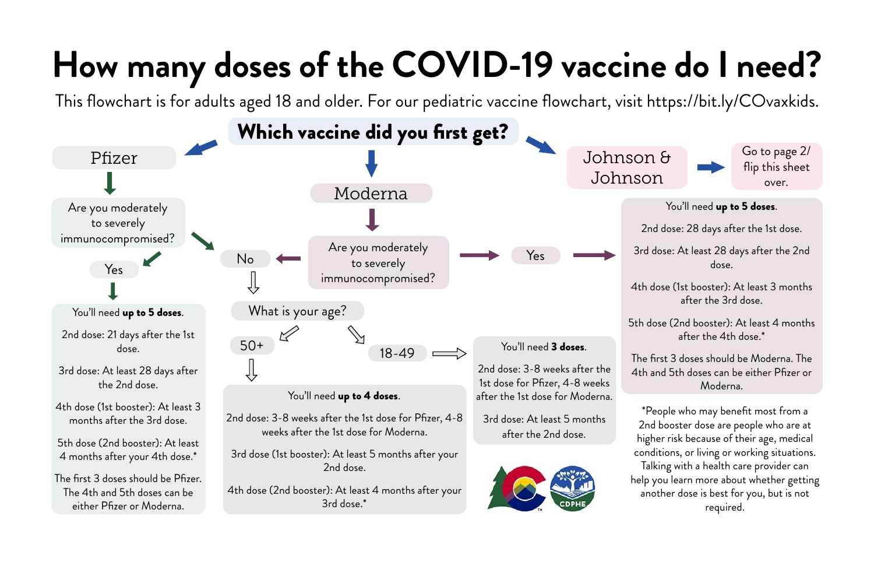## **How many doses of the COVID-19 vaccine do I need?**

2nd dose: 28 days after the 1st dose.

3rd dose: At least 28 days after the 2nd dose.

4th dose (1st booster): At least 3 months after the 3rd dose.

5th dose (2nd booster): At least 4 months after the 4th dose.\*

The first 3 doses should be Moderna. The 4th and 5th doses can be either Pfizer or Moderna.





This flowchart is for adults aged 18 and older. For our pediatric vaccine flowchart, visit https://bit.ly/COvaxkids.

Go to page 2/ flip this sheet over.

You'll need up to 5 doses.

\*People who may benefit most from a 2nd booster dose are people who are at higher risk because of their age, medical conditions, or living or working situations. Talking with a health care provider can help you learn more about whether getting another dose is best for you, but is not required.